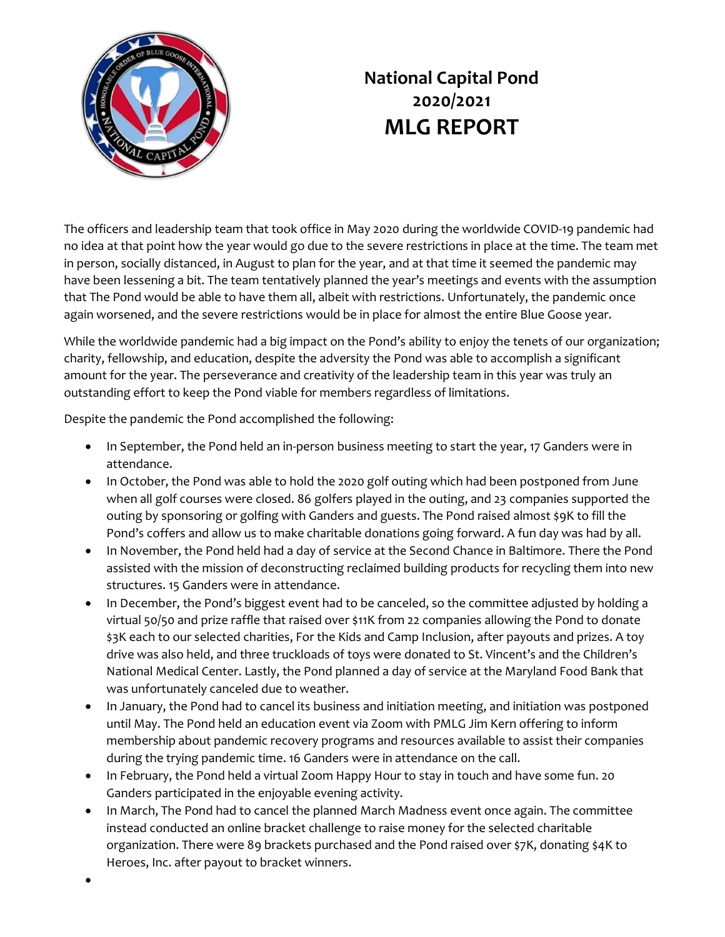

## National Capital Pond 2020/2021 MLG REPORT

The officers and leadership team that took office in May 2020 during the worldwide COVID-19 pandemic had no idea at that point how the year would go due to the severe restrictions in place at the time. The team met in person, socially distanced, in August to plan for the year, and at that time it seemed the pandemic may have been lessening a bit. The team tentatively planned the year's meetings and events with the assumption that The Pond would be able to have them all, albeit with restrictions. Unfortunately, the pandemic once again worsened, and the severe restrictions would be in place for almost the entire Blue Goose year.

While the worldwide pandemic had a big impact on the Pond's ability to enjoy the tenets of our organization; charity, fellowship, and education, despite the adversity the Pond was able to accomplish a significant amount for the year. The perseverance and creativity of the leadership team in this year was truly an outstanding effort to keep the Pond viable for members regardless of limitations.

Despite the pandemic the Pond accomplished the following:

- In September, the Pond held an in-person business meeting to start the year, 17 Ganders were in attendance.
- In October, the Pond was able to hold the 2020 golf outing which had been postponed from June when all golf courses were closed. 86 golfers played in the outing, and 23 companies supported the outing by sponsoring or golfing with Ganders and guests. The Pond raised almost \$9K to fill the Pond's coffers and allow us to make charitable donations going forward. A fun day was had by all.
- In November, the Pond held had a day of service at the Second Chance in Baltimore. There the Pond assisted with the mission of deconstructing reclaimed building products for recycling them into new structures. 15 Ganders were in attendance.
- In December, the Pond's biggest event had to be canceled, so the committee adjusted by holding a virtual 50/50 and prize raffle that raised over \$11K from 22 companies allowing the Pond to donate \$3K each to our selected charities, For the Kids and Camp Inclusion, after payouts and prizes. A toy drive was also held, and three truckloads of toys were donated to St. Vincent's and the Children's National Medical Center. Lastly, the Pond planned a day of service at the Maryland Food Bank that was unfortunately canceled due to weather.
- In January, the Pond had to cancel its business and initiation meeting, and initiation was postponed until May. The Pond held an education event via Zoom with PMLG Jim Kern offering to inform membership about pandemic recovery programs and resources available to assist their companies during the trying pandemic time. 16 Ganders were in attendance on the call.
- In February, the Pond held a virtual Zoom Happy Hour to stay in touch and have some fun. 20 Ganders participated in the enjoyable evening activity.
- In March, The Pond had to cancel the planned March Madness event once again. The committee instead conducted an online bracket challenge to raise money for the selected charitable organization. There were 89 brackets purchased and the Pond raised over \$7K, donating \$4K to Heroes, Inc. after payout to bracket winners.